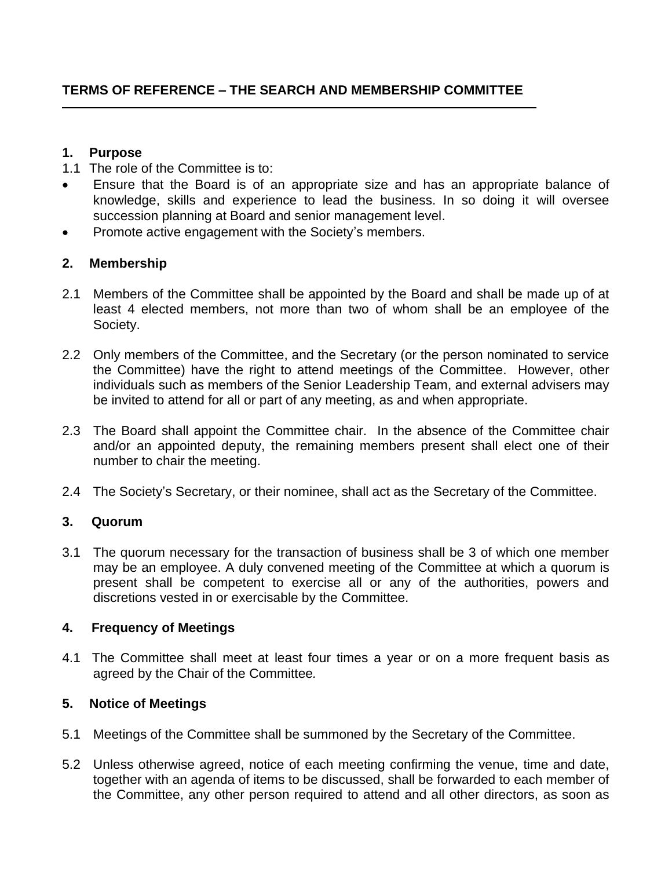## **1. Purpose**

- 1.1 The role of the Committee is to:
- Ensure that the Board is of an appropriate size and has an appropriate balance of knowledge, skills and experience to lead the business. In so doing it will oversee succession planning at Board and senior management level.
- Promote active engagement with the Society's members.

# **2. Membership**

- 2.1 Members of the Committee shall be appointed by the Board and shall be made up of at least 4 elected members, not more than two of whom shall be an employee of the Society.
- 2.2 Only members of the Committee, and the Secretary (or the person nominated to service the Committee) have the right to attend meetings of the Committee. However, other individuals such as members of the Senior Leadership Team, and external advisers may be invited to attend for all or part of any meeting, as and when appropriate.
- 2.3 The Board shall appoint the Committee chair. In the absence of the Committee chair and/or an appointed deputy, the remaining members present shall elect one of their number to chair the meeting.
- 2.4 The Society's Secretary, or their nominee, shall act as the Secretary of the Committee.

# **3. Quorum**

3.1 The quorum necessary for the transaction of business shall be 3 of which one member may be an employee. A duly convened meeting of the Committee at which a quorum is present shall be competent to exercise all or any of the authorities, powers and discretions vested in or exercisable by the Committee.

### **4. Frequency of Meetings**

4.1 The Committee shall meet at least four times a year or on a more frequent basis as agreed by the Chair of the Committee*.* 

# **5. Notice of Meetings**

- 5.1 Meetings of the Committee shall be summoned by the Secretary of the Committee.
- 5.2 Unless otherwise agreed, notice of each meeting confirming the venue, time and date, together with an agenda of items to be discussed, shall be forwarded to each member of the Committee, any other person required to attend and all other directors, as soon as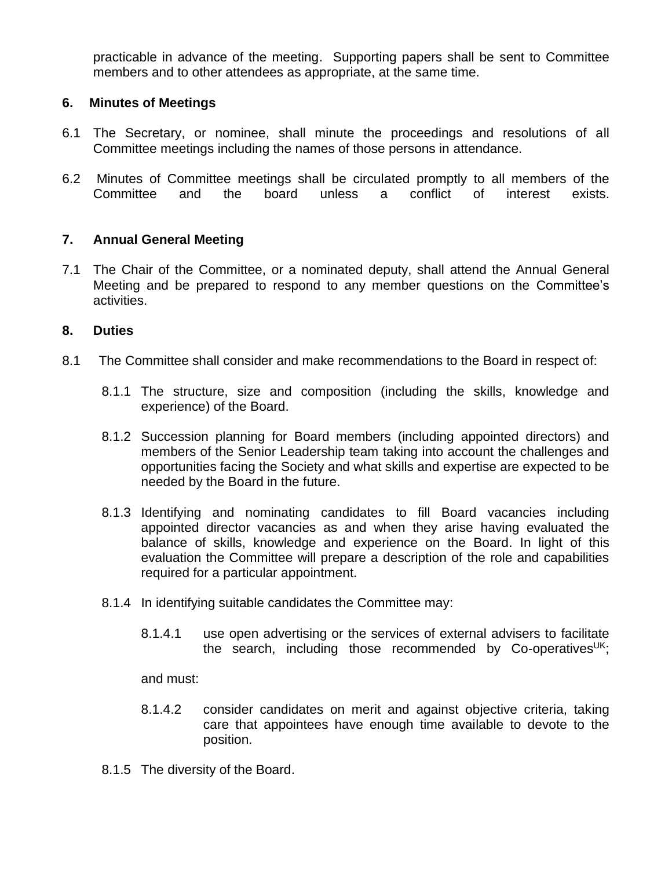practicable in advance of the meeting. Supporting papers shall be sent to Committee members and to other attendees as appropriate, at the same time.

## **6. Minutes of Meetings**

- 6.1 The Secretary, or nominee, shall minute the proceedings and resolutions of all Committee meetings including the names of those persons in attendance.
- 6.2 Minutes of Committee meetings shall be circulated promptly to all members of the Committee and the board unless a conflict of interest exists.

## **7. Annual General Meeting**

7.1 The Chair of the Committee, or a nominated deputy, shall attend the Annual General Meeting and be prepared to respond to any member questions on the Committee's activities.

### **8. Duties**

- 8.1 The Committee shall consider and make recommendations to the Board in respect of:
	- 8.1.1 The structure, size and composition (including the skills, knowledge and experience) of the Board.
	- 8.1.2 Succession planning for Board members (including appointed directors) and members of the Senior Leadership team taking into account the challenges and opportunities facing the Society and what skills and expertise are expected to be needed by the Board in the future.
	- 8.1.3 Identifying and nominating candidates to fill Board vacancies including appointed director vacancies as and when they arise having evaluated the balance of skills, knowledge and experience on the Board. In light of this evaluation the Committee will prepare a description of the role and capabilities required for a particular appointment.
	- 8.1.4 In identifying suitable candidates the Committee may:
		- 8.1.4.1 use open advertising or the services of external advisers to facilitate the search, including those recommended by Co-operatives<sup>UK</sup>;

and must:

- 8.1.4.2 consider candidates on merit and against objective criteria, taking care that appointees have enough time available to devote to the position.
- 8.1.5 The diversity of the Board.